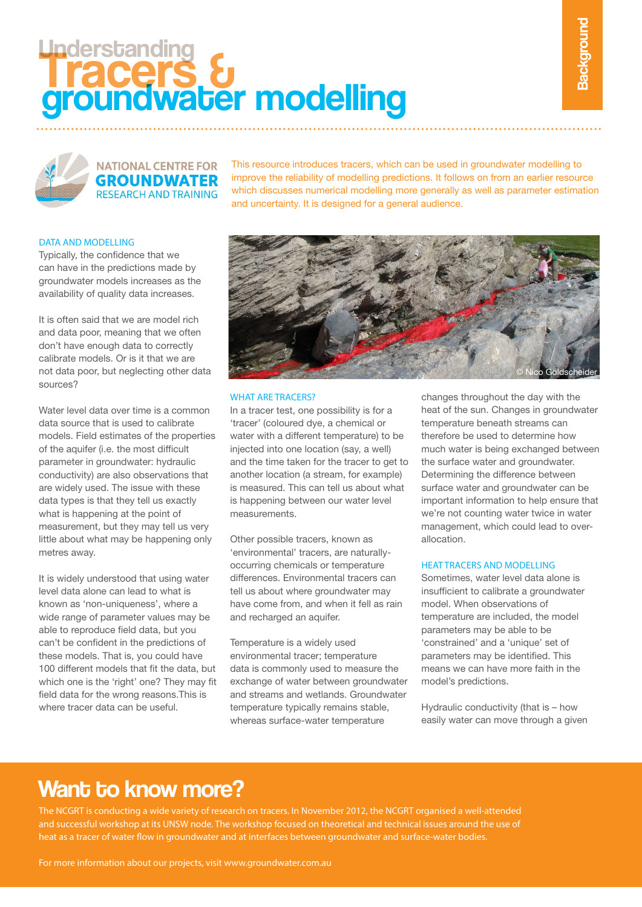# **Tracers** & Understanding groundwater modelling



**NATIONAL CENTRE FOR GROUNDWATER RESEARCH AND TRAINING** 

This resource introduces tracers, which can be used in groundwater modelling to improve the reliability of modelling predictions. It follows on from an earlier resource which discusses numerical modelling more generally as well as parameter estimation and uncertainty. It is designed for a general audience.

## DATA AND MODELLING

Typically, the confidence that we can have in the predictions made by groundwater models increases as the availability of quality data increases.

It is often said that we are model rich and data poor, meaning that we often don't have enough data to correctly calibrate models. Or is it that we are not data poor, but neglecting other data sources?

Water level data over time is a common data source that is used to calibrate models. Field estimates of the properties of the aquifer (i.e. the most difficult parameter in groundwater: hydraulic conductivity) are also observations that are widely used. The issue with these data types is that they tell us exactly what is happening at the point of measurement, but they may tell us very little about what may be happening only metres away.

It is widely understood that using water level data alone can lead to what is known as 'non-uniqueness', where a wide range of parameter values may be able to reproduce field data, but you can't be confident in the predictions of these models. That is, you could have 100 different models that fit the data, but which one is the 'right' one? They may fit field data for the wrong reasons.This is where tracer data can be useful.



### WHAT ARF TRACERS?

In a tracer test, one possibility is for a 'tracer' (coloured dye, a chemical or water with a different temperature) to be injected into one location (say, a well) and the time taken for the tracer to get to another location (a stream, for example) is measured. This can tell us about what is happening between our water level measurements.

Other possible tracers, known as 'environmental' tracers, are naturallyoccurring chemicals or temperature differences. Environmental tracers can tell us about where groundwater may have come from, and when it fell as rain and recharged an aquifer.

Temperature is a widely used environmental tracer; temperature data is commonly used to measure the exchange of water between groundwater and streams and wetlands. Groundwater temperature typically remains stable, whereas surface-water temperature

changes throughout the day with the heat of the sun. Changes in groundwater temperature beneath streams can therefore be used to determine how much water is being exchanged between the surface water and groundwater. Determining the difference between surface water and groundwater can be important information to help ensure that we're not counting water twice in water management, which could lead to overallocation.

#### heat tracers and modelling

Sometimes, water level data alone is insufficient to calibrate a groundwater model. When observations of temperature are included, the model parameters may be able to be 'constrained' and a 'unique' set of parameters may be identified. This means we can have more faith in the model's predictions.

Hydraulic conductivity (that is – how easily water can move through a given

# Want to know more?

The NCGRT is conducting a wide variety of research on tracers. In November 2012, the NCGRT organised a well-attended and successful workshop at its UNSW node. The workshop focused on theoretical and technical issues around the use of heat as a tracer of water flow in groundwater and at interfaces between groundwater and surface-water bodies.